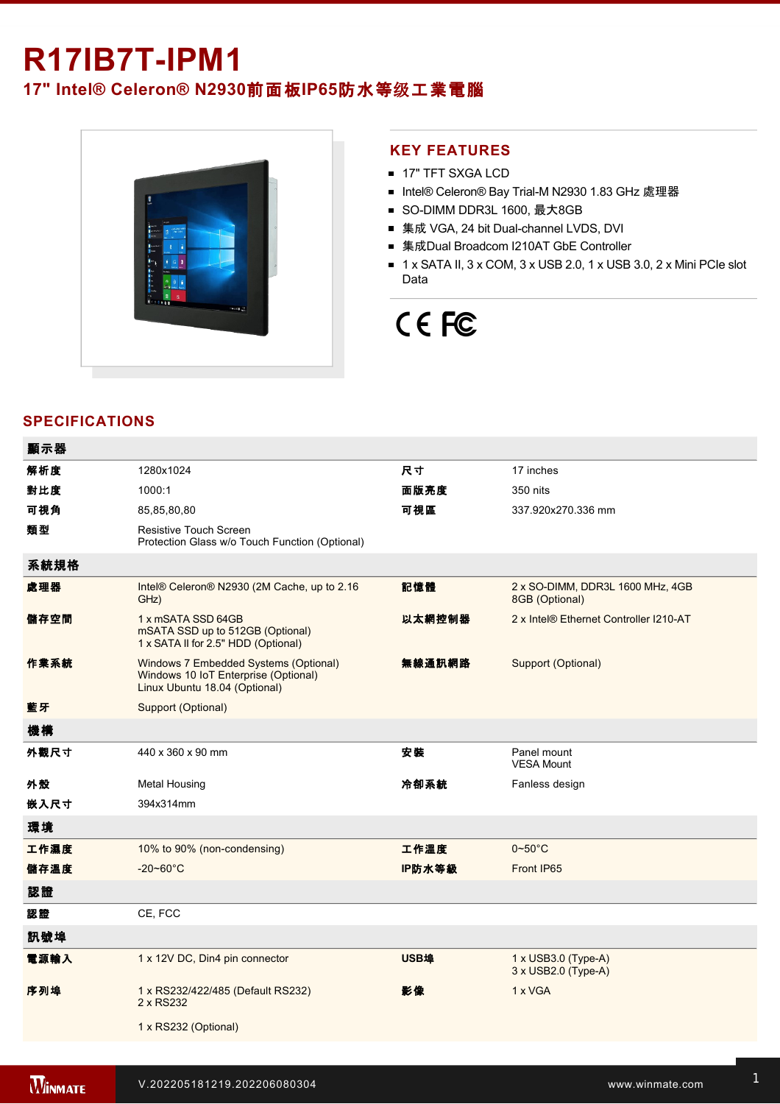# **R17IB7T-IPM1**

# **17" Intel® Celeron® N2930**前面板**IP65**防水等级工業電腦



#### **KEY FEATURES**

- **17" TFT SXGA LCD**
- Intel® Celeron® Bay Trial-M N2930 1.83 GHz 處理器
- SO-DIMM DDR3L 1600, 最大8GB
- 集成 VGA, 24 bit Dual-channel LVDS, DVI
- 集成Dual Broadcom I210AT GbE Controller
- $\blacksquare$  1 x SATA II, 3 x COM, 3 x USB 2.0, 1 x USB 3.0, 2 x Mini PCIe slot Data

# CE FC

## **SPECIFICATIONS**

| 顯示器  |                                                                                                                |        |                                                          |
|------|----------------------------------------------------------------------------------------------------------------|--------|----------------------------------------------------------|
| 解析度  | 1280x1024                                                                                                      | 尺寸     | 17 inches                                                |
| 對比度  | 1000:1                                                                                                         | 面版亮度   | 350 nits                                                 |
| 可視角  | 85,85,80,80                                                                                                    | 可視區    | 337.920x270.336 mm                                       |
| 類型   | Resistive Touch Screen<br>Protection Glass w/o Touch Function (Optional)                                       |        |                                                          |
| 系統規格 |                                                                                                                |        |                                                          |
| 處理器  | Intel® Celeron® N2930 (2M Cache, up to 2.16<br>GHz)                                                            | 記憶體    | 2 x SO-DIMM, DDR3L 1600 MHz, 4GB<br>8GB (Optional)       |
| 儲存空間 | 1 x mSATA SSD 64GB<br>mSATA SSD up to 512GB (Optional)<br>1 x SATA II for 2.5" HDD (Optional)                  | 以太網控制器 | 2 x Intel® Ethernet Controller I210-AT                   |
| 作業系統 | Windows 7 Embedded Systems (Optional)<br>Windows 10 IoT Enterprise (Optional)<br>Linux Ubuntu 18.04 (Optional) | 無線通訊網路 | Support (Optional)                                       |
| 藍牙   | Support (Optional)                                                                                             |        |                                                          |
| 機構   |                                                                                                                |        |                                                          |
| 外觀尺寸 | 440 x 360 x 90 mm                                                                                              | 安裝     | Panel mount<br><b>VESA Mount</b>                         |
| 外殼   | <b>Metal Housing</b>                                                                                           | 冷卻系統   | Fanless design                                           |
| 嵌入尺寸 | 394x314mm                                                                                                      |        |                                                          |
| 環境   |                                                                                                                |        |                                                          |
| 工作濕度 | 10% to 90% (non-condensing)                                                                                    | 工作溫度   | $0 - 50$ °C                                              |
| 儲存溫度 | $-20 - 60^{\circ}$ C                                                                                           | IP防水等級 | Front IP65                                               |
| 認證   |                                                                                                                |        |                                                          |
| 認證   | CE, FCC                                                                                                        |        |                                                          |
| 訊號埠  |                                                                                                                |        |                                                          |
| 電源輸入 | 1 x 12V DC, Din4 pin connector                                                                                 | USB埠   | $1 \times$ USB3.0 (Type-A)<br>$3 \times$ USB2.0 (Type-A) |
| 序列埠  | 1 x RS232/422/485 (Default RS232)<br>2 x RS232                                                                 | 影像     | 1 x VGA                                                  |
|      | 1 x RS232 (Optional)                                                                                           |        |                                                          |
|      |                                                                                                                |        |                                                          |

Line in

1 x Led indicator for storage and the storage storage in the storage storage storage storage storage storage s